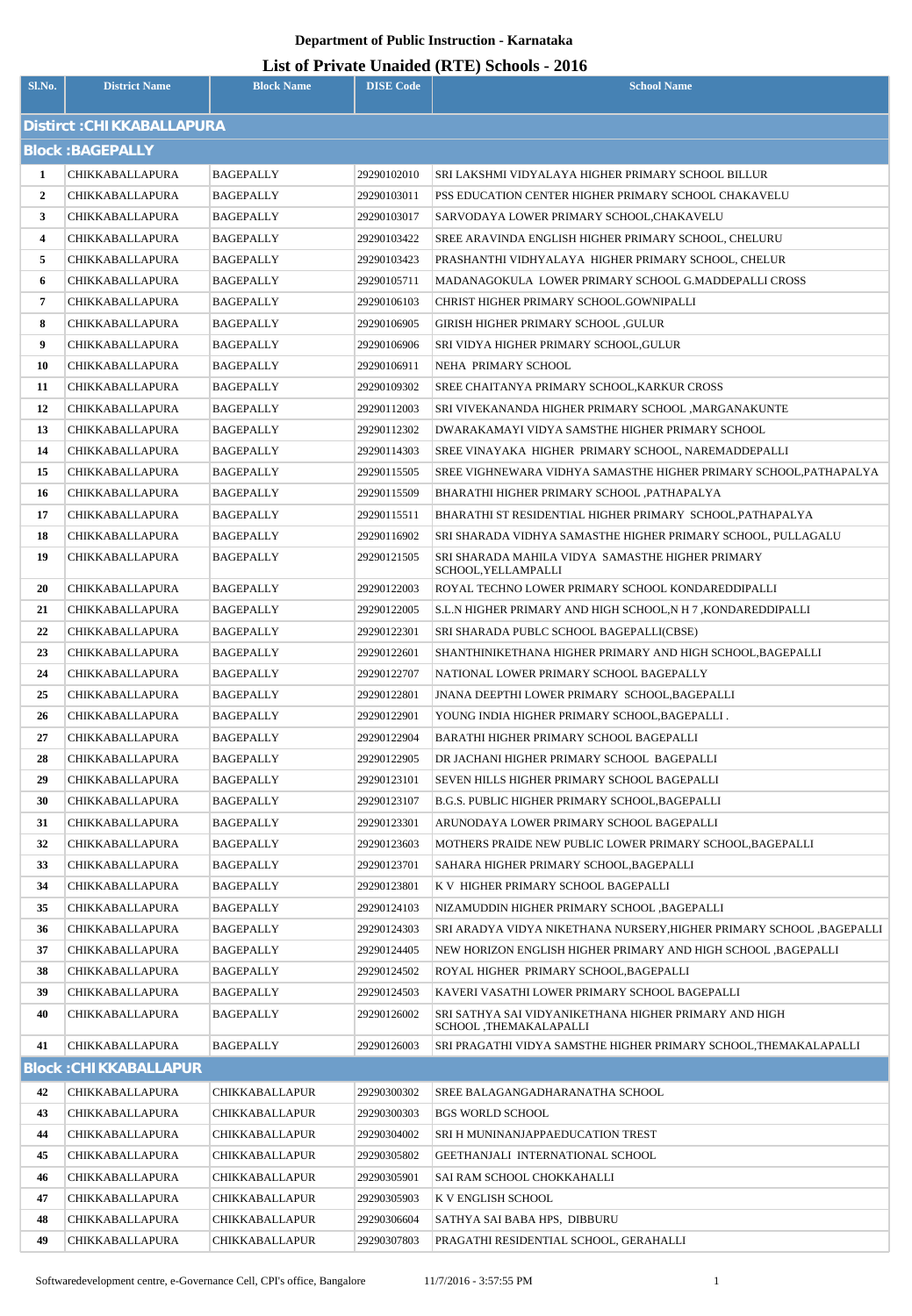| List of Private Unaided (RTE) Schools - 2016 |
|----------------------------------------------|
|----------------------------------------------|

|                |                              |                       |                  | <b>Elst of Thivan</b> Unanity (KTE) Sthoots - 2010                              |
|----------------|------------------------------|-----------------------|------------------|---------------------------------------------------------------------------------|
| Sl.No.         | <b>District Name</b>         | <b>Block Name</b>     | <b>DISE Code</b> | <b>School Name</b>                                                              |
|                | Distirct : CHIKKABALLAPURA   |                       |                  |                                                                                 |
|                |                              |                       |                  |                                                                                 |
|                | <b>Block: BAGEPALLY</b>      |                       |                  |                                                                                 |
| 1              | <b>CHIKKABALLAPURA</b>       | <b>BAGEPALLY</b>      | 29290102010      | SRI LAKSHMI VIDYALAYA HIGHER PRIMARY SCHOOL BILLUR                              |
| $\overline{2}$ | <b>CHIKKABALLAPURA</b>       | <b>BAGEPALLY</b>      | 29290103011      | PSS EDUCATION CENTER HIGHER PRIMARY SCHOOL CHAKAVELU                            |
| 3              | <b>CHIKKABALLAPURA</b>       | <b>BAGEPALLY</b>      | 29290103017      | SARVODAYA LOWER PRIMARY SCHOOL, CHAKAVELU                                       |
| 4              | <b>CHIKKABALLAPURA</b>       | BAGEPALLY             | 29290103422      | SREE ARAVINDA ENGLISH HIGHER PRIMARY SCHOOL, CHELURU                            |
| 5              | CHIKKABALLAPURA              | <b>BAGEPALLY</b>      | 29290103423      | PRASHANTHI VIDHYALAYA HIGHER PRIMARY SCHOOL, CHELUR                             |
| 6              | CHIKKABALLAPURA              | BAGEPALLY             | 29290105711      | MADANAGOKULA LOWER PRIMARY SCHOOL G.MADDEPALLI CROSS                            |
| $\overline{7}$ | CHIKKABALLAPURA              | BAGEPALLY             | 29290106103      | CHRIST HIGHER PRIMARY SCHOOL.GOWNIPALLI                                         |
| 8              | <b>CHIKKABALLAPURA</b>       | BAGEPALLY             | 29290106905      | GIRISH HIGHER PRIMARY SCHOOL ,GULUR                                             |
| 9              | <b>CHIKKABALLAPURA</b>       | BAGEPALLY             | 29290106906      | SRI VIDYA HIGHER PRIMARY SCHOOL, GULUR                                          |
| 10             | <b>CHIKKABALLAPURA</b>       | BAGEPALLY             | 29290106911      | NEHA PRIMARY SCHOOL                                                             |
| 11             | CHIKKABALLAPURA              | BAGEPALLY             | 29290109302      | SREE CHAITANYA PRIMARY SCHOOL, KARKUR CROSS                                     |
| 12             | <b>CHIKKABALLAPURA</b>       | BAGEPALLY             | 29290112003      | SRI VIVEKANANDA HIGHER PRIMARY SCHOOL ,MARGANAKUNTE                             |
| 13             | <b>CHIKKABALLAPURA</b>       | <b>BAGEPALLY</b>      | 29290112302      | DWARAKAMAYI VIDYA SAMSTHE HIGHER PRIMARY SCHOOL                                 |
| 14             | <b>CHIKKABALLAPURA</b>       | BAGEPALLY             | 29290114303      | SREE VINAYAKA HIGHER PRIMARY SCHOOL, NAREMADDEPALLI                             |
| 15             | <b>CHIKKABALLAPURA</b>       | BAGEPALLY             | 29290115505      | SREE VIGHNEWARA VIDHYA SAMASTHE HIGHER PRIMARY SCHOOL, PATHAPALYA               |
| 16             | <b>CHIKKABALLAPURA</b>       | BAGEPALLY             | 29290115509      | BHARATHI HIGHER PRIMARY SCHOOL , PATHAPALYA                                     |
| 17             | <b>CHIKKABALLAPURA</b>       | BAGEPALLY             | 29290115511      | BHARATHI ST RESIDENTIAL HIGHER PRIMARY SCHOOL, PATHAPALYA                       |
| 18             | <b>CHIKKABALLAPURA</b>       | <b>BAGEPALLY</b>      | 29290116902      | SRI SHARADA VIDHYA SAMASTHE HIGHER PRIMARY SCHOOL, PULLAGALU                    |
| 19             | CHIKKABALLAPURA              | <b>BAGEPALLY</b>      | 29290121505      | SRI SHARADA MAHILA VIDYA SAMASTHE HIGHER PRIMARY<br>SCHOOL, YELLAMPALLI         |
| 20             | CHIKKABALLAPURA              | <b>BAGEPALLY</b>      | 29290122003      | ROYAL TECHNO LOWER PRIMARY SCHOOL KONDAREDDIPALLI                               |
| 21             | <b>CHIKKABALLAPURA</b>       | BAGEPALLY             | 29290122005      | S.L.N HIGHER PRIMARY AND HIGH SCHOOL, N H 7, KONDAREDDIPALLI                    |
| 22             | <b>CHIKKABALLAPURA</b>       | <b>BAGEPALLY</b>      | 29290122301      | SRI SHARADA PUBLC SCHOOL BAGEPALLI(CBSE)                                        |
| 23             | <b>CHIKKABALLAPURA</b>       | BAGEPALLY             | 29290122601      | SHANTHINIKETHANA HIGHER PRIMARY AND HIGH SCHOOL, BAGEPALLI                      |
| 24             | CHIKKABALLAPURA              | BAGEPALLY             | 29290122707      | NATIONAL LOWER PRIMARY SCHOOL BAGEPALLY                                         |
| 25             | CHIKKABALLAPURA              | <b>BAGEPALLY</b>      | 29290122801      | JNANA DEEPTHI LOWER PRIMARY SCHOOL, BAGEPALLI                                   |
| 26             | CHIKKABALLAPURA              | BAGEPALLY             | 29290122901      | YOUNG INDIA HIGHER PRIMARY SCHOOL, BAGEPALLI.                                   |
| 27             | <b>CHIKKABALLAPURA</b>       | <b>BAGEPALLY</b>      | 29290122904      | BARATHI HIGHER PRIMARY SCHOOL BAGEPALLI                                         |
| 28             | CHIKKABALLAPURA              | <b>BAGEPALLY</b>      | 29290122905      | DR JACHANI HIGHER PRIMARY SCHOOL BAGEPALLI                                      |
| 29             | <b>CHIKKABALLAPURA</b>       | BAGEPALLY             | 29290123101      | SEVEN HILLS HIGHER PRIMARY SCHOOL BAGEPALLI                                     |
| 30             | CHIKKABALLAPURA              | BAGEPALLY             | 29290123107      | B.G.S. PUBLIC HIGHER PRIMARY SCHOOL, BAGEPALLI                                  |
| 31             | CHIKKABALLAPURA              | <b>BAGEPALLY</b>      | 29290123301      | ARUNODAYA LOWER PRIMARY SCHOOL BAGEPALLI                                        |
| 32             | CHIKKABALLAPURA              | <b>BAGEPALLY</b>      | 29290123603      | MOTHERS PRAIDE NEW PUBLIC LOWER PRIMARY SCHOOL, BAGEPALLI                       |
| 33             | CHIKKABALLAPURA              | <b>BAGEPALLY</b>      | 29290123701      | SAHARA HIGHER PRIMARY SCHOOL, BAGEPALLI                                         |
| 34             | CHIKKABALLAPURA              | <b>BAGEPALLY</b>      | 29290123801      | K V HIGHER PRIMARY SCHOOL BAGEPALLI                                             |
| 35             | <b>CHIKKABALLAPURA</b>       | <b>BAGEPALLY</b>      | 29290124103      | NIZAMUDDIN HIGHER PRIMARY SCHOOL ,BAGEPALLI                                     |
| 36             | <b>CHIKKABALLAPURA</b>       | <b>BAGEPALLY</b>      | 29290124303      | SRI ARADYA VIDYA NIKETHANA NURSERY, HIGHER PRIMARY SCHOOL , BAGEPALLI           |
| 37             | CHIKKABALLAPURA              | <b>BAGEPALLY</b>      | 29290124405      | NEW HORIZON ENGLISH HIGHER PRIMARY AND HIGH SCHOOL ,BAGEPALLI                   |
| 38             | CHIKKABALLAPURA              | <b>BAGEPALLY</b>      | 29290124502      | ROYAL HIGHER PRIMARY SCHOOL, BAGEPALLI                                          |
| 39             | <b>CHIKKABALLAPURA</b>       | <b>BAGEPALLY</b>      | 29290124503      | KAVERI VASATHI LOWER PRIMARY SCHOOL BAGEPALLI                                   |
| 40             | CHIKKABALLAPURA              | <b>BAGEPALLY</b>      | 29290126002      | SRI SATHYA SAI VIDYANIKETHANA HIGHER PRIMARY AND HIGH<br>SCHOOL ,THEMAKALAPALLI |
| 41             | <b>CHIKKABALLAPURA</b>       | <b>BAGEPALLY</b>      | 29290126003      | SRI PRAGATHI VIDYA SAMSTHE HIGHER PRIMARY SCHOOL, THEMAKALAPALLI                |
|                | <b>Block: CHIKKABALLAPUR</b> |                       |                  |                                                                                 |
| 42             | CHIKKABALLAPURA              | <b>CHIKKABALLAPUR</b> | 29290300302      | SREE BALAGANGADHARANATHA SCHOOL                                                 |
| 43             | <b>CHIKKABALLAPURA</b>       | <b>CHIKKABALLAPUR</b> | 29290300303      | <b>BGS WORLD SCHOOL</b>                                                         |
| 44             | CHIKKABALLAPURA              | <b>CHIKKABALLAPUR</b> | 29290304002      | SRI H MUNINANJAPPAEDUCATION TREST                                               |
| 45             | CHIKKABALLAPURA              | <b>CHIKKABALLAPUR</b> | 29290305802      | GEETHANJALI INTERNATIONAL SCHOOL                                                |
| 46             | CHIKKABALLAPURA              | <b>CHIKKABALLAPUR</b> | 29290305901      | SAI RAM SCHOOL CHOKKAHALLI                                                      |
| 47             | CHIKKABALLAPURA              | <b>CHIKKABALLAPUR</b> | 29290305903      | K V ENGLISH SCHOOL                                                              |
| 48             | CHIKKABALLAPURA              | <b>CHIKKABALLAPUR</b> | 29290306604      | SATHYA SAI BABA HPS, DIBBURU                                                    |
| 49             | CHIKKABALLAPURA              | <b>CHIKKABALLAPUR</b> | 29290307803      | PRAGATHI RESIDENTIAL SCHOOL, GERAHALLI                                          |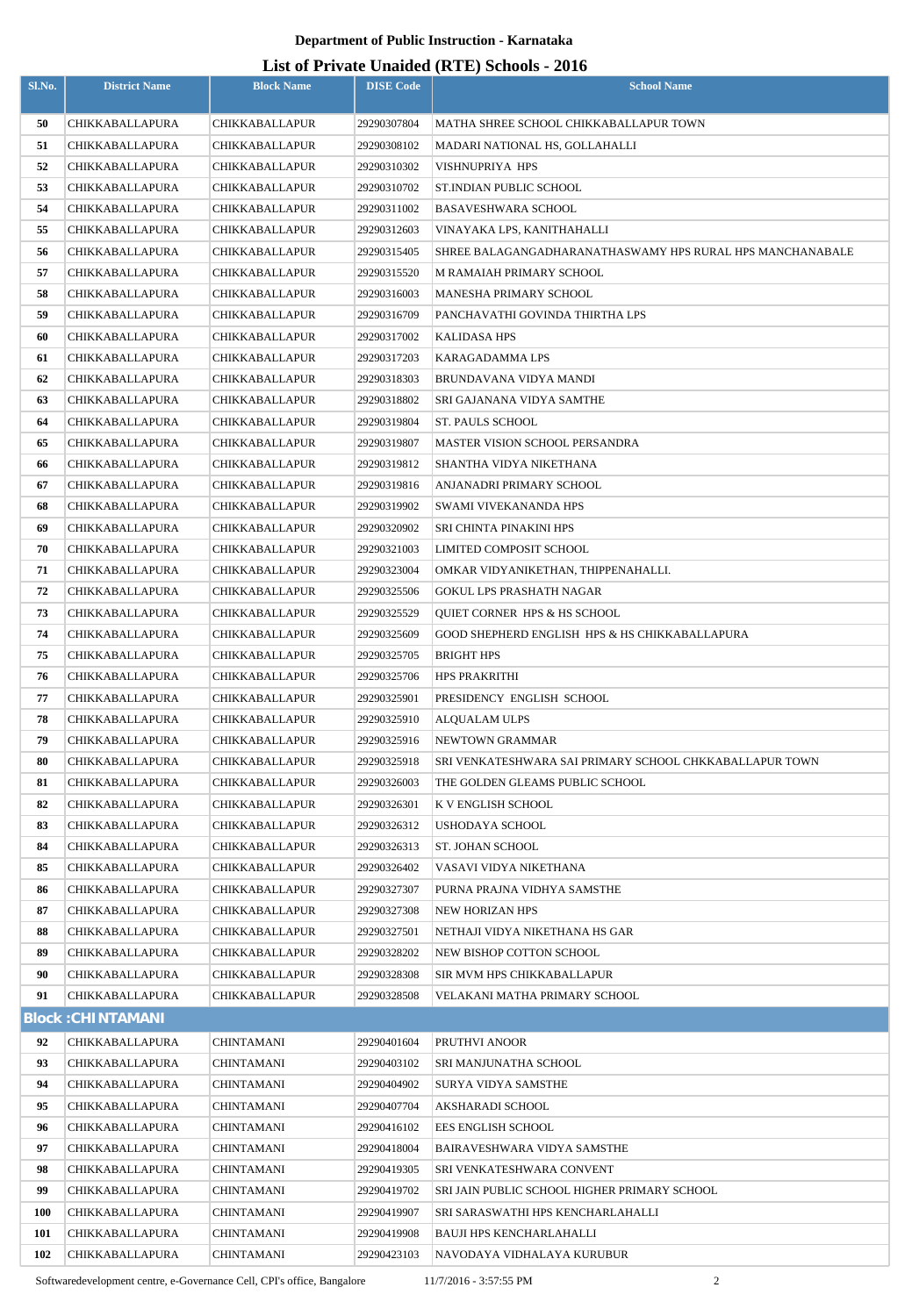### **List of Private Unaided (RTE) Schools - 2016**

| Sl.No.           | <b>District Name</b>                      | <b>Block Name</b>        | <b>DISE Code</b>           | $\mu$ <sub>15</sub> of T <sub>11</sub> , and Onatucu (IVTL) behoofs $\mu$ <sub>010</sub><br><b>School Name</b> |
|------------------|-------------------------------------------|--------------------------|----------------------------|----------------------------------------------------------------------------------------------------------------|
| 50               | CHIKKABALLAPURA                           | CHIKKABALLAPUR           | 29290307804                | MATHA SHREE SCHOOL CHIKKABALLAPUR TOWN                                                                         |
| 51               | CHIKKABALLAPURA                           | CHIKKABALLAPUR           | 29290308102                | MADARI NATIONAL HS, GOLLAHALLI                                                                                 |
| 52               | CHIKKABALLAPURA                           | CHIKKABALLAPUR           | 29290310302                | VISHNUPRIYA HPS                                                                                                |
| 53               | CHIKKABALLAPURA                           | CHIKKABALLAPUR           | 29290310702                | ST.INDIAN PUBLIC SCHOOL                                                                                        |
| 54               | CHIKKABALLAPURA                           | <b>CHIKKABALLAPUR</b>    | 29290311002                | <b>BASAVESHWARA SCHOOL</b>                                                                                     |
| 55               | CHIKKABALLAPURA                           | CHIKKABALLAPUR           | 29290312603                | VINAYAKA LPS, KANITHAHALLI                                                                                     |
| 56               | CHIKKABALLAPURA                           | CHIKKABALLAPUR           | 29290315405                | SHREE BALAGANGADHARANATHASWAMY HPS RURAL HPS MANCHANABALE                                                      |
| 57               | CHIKKABALLAPURA                           | CHIKKABALLAPUR           | 29290315520                | M RAMAIAH PRIMARY SCHOOL                                                                                       |
| 58               | CHIKKABALLAPURA                           | CHIKKABALLAPUR           | 29290316003                | MANESHA PRIMARY SCHOOL                                                                                         |
| 59               | CHIKKABALLAPURA                           | CHIKKABALLAPUR           | 29290316709                | PANCHAVATHI GOVINDA THIRTHA LPS                                                                                |
| 60               | CHIKKABALLAPURA                           | CHIKKABALLAPUR           | 29290317002                | KALIDASA HPS                                                                                                   |
| 61               | CHIKKABALLAPURA                           | CHIKKABALLAPUR           | 29290317203                | <b>KARAGADAMMA LPS</b>                                                                                         |
| 62               | CHIKKABALLAPURA                           | <b>CHIKKABALLAPUR</b>    | 29290318303                | BRUNDAVANA VIDYA MANDI                                                                                         |
| 63               | CHIKKABALLAPURA                           | CHIKKABALLAPUR           | 29290318802                | SRI GAJANANA VIDYA SAMTHE                                                                                      |
| 64               | CHIKKABALLAPURA                           | CHIKKABALLAPUR           | 29290319804                | ST. PAULS SCHOOL                                                                                               |
| 65               | CHIKKABALLAPURA                           | CHIKKABALLAPUR           | 29290319807                | <b>MASTER VISION SCHOOL PERSANDRA</b>                                                                          |
| 66               | CHIKKABALLAPURA                           | CHIKKABALLAPUR           | 29290319812                | SHANTHA VIDYA NIKETHANA                                                                                        |
| 67               | CHIKKABALLAPURA                           | CHIKKABALLAPUR           | 29290319816                | ANJANADRI PRIMARY SCHOOL                                                                                       |
| 68               | CHIKKABALLAPURA                           | CHIKKABALLAPUR           | 29290319902                | SWAMI VIVEKANANDA HPS                                                                                          |
| 69               | CHIKKABALLAPURA                           | CHIKKABALLAPUR           | 29290320902                | SRI CHINTA PINAKINI HPS                                                                                        |
| 70               | CHIKKABALLAPURA                           | CHIKKABALLAPUR           | 29290321003                | LIMITED COMPOSIT SCHOOL                                                                                        |
| 71               | CHIKKABALLAPURA                           | CHIKKABALLAPUR           | 29290323004                | OMKAR VIDYANIKETHAN, THIPPENAHALLI.                                                                            |
| 72               | CHIKKABALLAPURA                           | CHIKKABALLAPUR           | 29290325506                | GOKUL LPS PRASHATH NAGAR                                                                                       |
| 73               | CHIKKABALLAPURA                           | CHIKKABALLAPUR           | 29290325529                | QUIET CORNER HPS & HS SCHOOL                                                                                   |
| 74               | CHIKKABALLAPURA                           | CHIKKABALLAPUR           | 29290325609                | GOOD SHEPHERD ENGLISH HPS & HS CHIKKABALLAPURA                                                                 |
| 75               | CHIKKABALLAPURA                           | CHIKKABALLAPUR           | 29290325705                | <b>BRIGHT HPS</b>                                                                                              |
| 76               | CHIKKABALLAPURA                           | CHIKKABALLAPUR           | 29290325706                | <b>HPS PRAKRITHI</b>                                                                                           |
| 77               | CHIKKABALLAPURA                           | CHIKKABALLAPUR           | 29290325901                | PRESIDENCY ENGLISH SCHOOL                                                                                      |
| 78               | CHIKKABALLAPURA                           | CHIKKABALLAPUR           | 29290325910                | ALQUALAM ULPS                                                                                                  |
| 79               | CHIKKABALLAPURA                           | CHIKKABALLAPUR           | 29290325916                | NEWTOWN GRAMMAR                                                                                                |
| 80               | CHIKKABALLAPURA                           | CHIKKABALLAPUR           | 29290325918                | SRI VENKATESHWARA SAI PRIMARY SCHOOL CHKKABALLAPUR TOWN                                                        |
| 81               | CHIKKABALLAPURA                           | CHIKKABALLAPUR           | 29290326003                | THE GOLDEN GLEAMS PUBLIC SCHOOL                                                                                |
| 82               | CHIKKABALLAPURA                           | CHIKKABALLAPUR           | 29290326301                | K V ENGLISH SCHOOL                                                                                             |
| 83               | CHIKKABALLAPURA                           | CHIKKABALLAPUR           | 29290326312                | <b>USHODAYA SCHOOL</b>                                                                                         |
| 84               | CHIKKABALLAPURA                           | CHIKKABALLAPUR           | 29290326313                | <b>ST. JOHAN SCHOOL</b>                                                                                        |
| 85               | CHIKKABALLAPURA                           | CHIKKABALLAPUR           | 29290326402                | VASAVI VIDYA NIKETHANA                                                                                         |
| 86               | CHIKKABALLAPURA                           | CHIKKABALLAPUR           | 29290327307                | PURNA PRAJNA VIDHYA SAMSTHE                                                                                    |
| 87               | CHIKKABALLAPURA                           | CHIKKABALLAPUR           | 29290327308                | <b>NEW HORIZAN HPS</b>                                                                                         |
| 88               | CHIKKABALLAPURA                           | CHIKKABALLAPUR           | 29290327501                | NETHAJI VIDYA NIKETHANA HS GAR                                                                                 |
| 89               | CHIKKABALLAPURA                           | CHIKKABALLAPUR           | 29290328202                | NEW BISHOP COTTON SCHOOL                                                                                       |
| 90               | CHIKKABALLAPURA                           | CHIKKABALLAPUR           | 29290328308                | SIR MVM HPS CHIKKABALLAPUR                                                                                     |
| 91               | CHIKKABALLAPURA                           | CHIKKABALLAPUR           | 29290328508                | VELAKANI MATHA PRIMARY SCHOOL                                                                                  |
|                  | <b>Block: CHINTAMANI</b>                  |                          |                            |                                                                                                                |
| 92               | CHIKKABALLAPURA                           | CHINTAMANI               | 29290401604                | PRUTHVI ANOOR                                                                                                  |
| 93               | CHIKKABALLAPURA                           | CHINTAMANI               | 29290403102                | SRI MANJUNATHA SCHOOL                                                                                          |
| 94               | CHIKKABALLAPURA                           | CHINTAMANI               | 29290404902                | SURYA VIDYA SAMSTHE                                                                                            |
| 95               | CHIKKABALLAPURA                           | CHINTAMANI               | 29290407704                | AKSHARADI SCHOOL                                                                                               |
| 96               | CHIKKABALLAPURA                           | CHINTAMANI               | 29290416102                | <b>EES ENGLISH SCHOOL</b>                                                                                      |
| 97               | CHIKKABALLAPURA                           | CHINTAMANI               | 29290418004                | BAIRAVESHWARA VIDYA SAMSTHE                                                                                    |
| 98               | CHIKKABALLAPURA                           | CHINTAMANI               | 29290419305                | SRI VENKATESHWARA CONVENT                                                                                      |
| 99<br><b>100</b> | CHIKKABALLAPURA<br><b>CHIKKABALLAPURA</b> | CHINTAMANI               | 29290419702                | SRI JAIN PUBLIC SCHOOL HIGHER PRIMARY SCHOOL<br>SRI SARASWATHI HPS KENCHARLAHALLI                              |
| 101              | CHIKKABALLAPURA                           | CHINTAMANI<br>CHINTAMANI | 29290419907<br>29290419908 | BAUJI HPS KENCHARLAHALLI                                                                                       |
| 102              | <b>CHIKKABALLAPURA</b>                    | CHINTAMANI               | 29290423103                | NAVODAYA VIDHALAYA KURUBUR                                                                                     |
|                  |                                           |                          |                            |                                                                                                                |

Softwaredevelopment centre, e-Governance Cell, CPI's office, Bangalore 11/7/2016 - 3:57:55 PM 2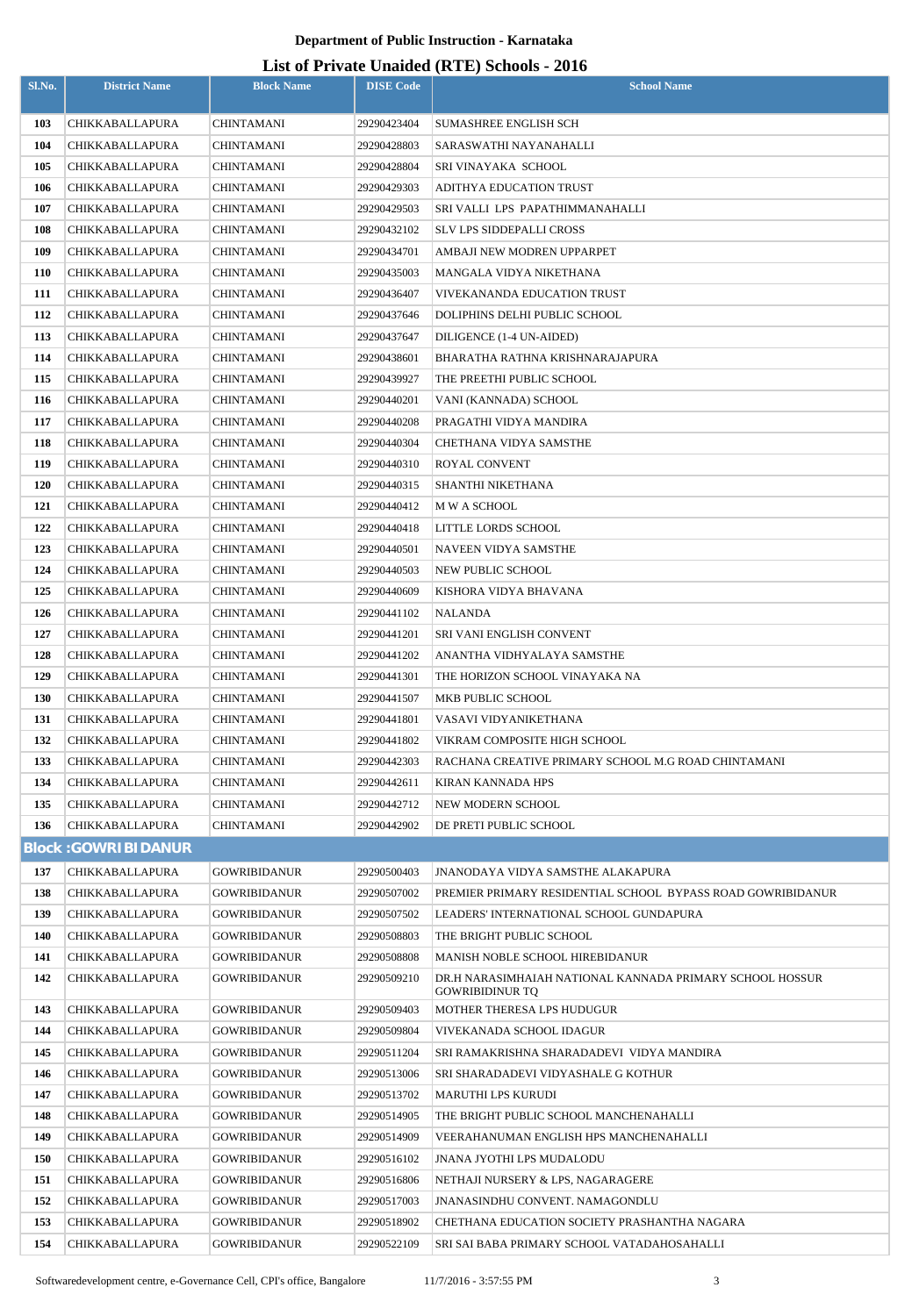## **List of Private Unaided (RTE) Schools - 2016**

|        |                            |                     |                  | Lest of Frivate Unanieu (KTL) Schools - 2010                |
|--------|----------------------------|---------------------|------------------|-------------------------------------------------------------|
| Sl.No. | <b>District Name</b>       | <b>Block Name</b>   | <b>DISE Code</b> | <b>School Name</b>                                          |
| 103    | <b>CHIKKABALLAPURA</b>     | CHINTAMANI          | 29290423404      | <b>SUMASHREE ENGLISH SCH</b>                                |
| 104    | <b>CHIKKABALLAPURA</b>     | CHINTAMANI          | 29290428803      | SARASWATHI NAYANAHALLI                                      |
| 105    | CHIKKABALLAPURA            | CHINTAMANI          | 29290428804      | SRI VINAYAKA SCHOOL                                         |
| 106    | CHIKKABALLAPURA            | CHINTAMANI          | 29290429303      | ADITHYA EDUCATION TRUST                                     |
| 107    | CHIKKABALLAPURA            | CHINTAMANI          | 29290429503      | SRI VALLI LPS PAPATHIMMANAHALLI                             |
| 108    | CHIKKABALLAPURA            | CHINTAMANI          | 29290432102      | SLV LPS SIDDEPALLI CROSS                                    |
| 109    | <b>CHIKKABALLAPURA</b>     | CHINTAMANI          | 29290434701      | AMBAJI NEW MODREN UPPARPET                                  |
| 110    | <b>CHIKKABALLAPURA</b>     | CHINTAMANI          | 29290435003      | MANGALA VIDYA NIKETHANA                                     |
| 111    | CHIKKABALLAPURA            | CHINTAMANI          | 29290436407      | VIVEKANANDA EDUCATION TRUST                                 |
| 112    | CHIKKABALLAPURA            | CHINTAMANI          | 29290437646      | DOLIPHINS DELHI PUBLIC SCHOOL                               |
| 113    | CHIKKABALLAPURA            | CHINTAMANI          | 29290437647      | DILIGENCE (1-4 UN-AIDED)                                    |
| 114    | <b>CHIKKABALLAPURA</b>     | CHINTAMANI          | 29290438601      | BHARATHA RATHNA KRISHNARAJAPURA                             |
| 115    | <b>CHIKKABALLAPURA</b>     | CHINTAMANI          | 29290439927      | THE PREETHI PUBLIC SCHOOL                                   |
| 116    | <b>CHIKKABALLAPURA</b>     | CHINTAMANI          | 29290440201      | VANI (KANNADA) SCHOOL                                       |
| 117    | <b>CHIKKABALLAPURA</b>     | <b>CHINTAMANI</b>   | 29290440208      | PRAGATHI VIDYA MANDIRA                                      |
| 118    | CHIKKABALLAPURA            | CHINTAMANI          | 29290440304      | CHETHANA VIDYA SAMSTHE                                      |
| 119    | <b>CHIKKABALLAPURA</b>     | CHINTAMANI          | 29290440310      | ROYAL CONVENT                                               |
| 120    | CHIKKABALLAPURA            | CHINTAMANI          | 29290440315      | SHANTHI NIKETHANA                                           |
| 121    | CHIKKABALLAPURA            | CHINTAMANI          | 29290440412      | M W A SCHOOL                                                |
| 122    | CHIKKABALLAPURA            | CHINTAMANI          | 29290440418      | LITTLE LORDS SCHOOL                                         |
| 123    | CHIKKABALLAPURA            | CHINTAMANI          | 29290440501      | NAVEEN VIDYA SAMSTHE                                        |
| 124    | CHIKKABALLAPURA            | CHINTAMANI          | 29290440503      | NEW PUBLIC SCHOOL                                           |
| 125    | CHIKKABALLAPURA            | CHINTAMANI          | 29290440609      | KISHORA VIDYA BHAVANA                                       |
| 126    | <b>CHIKKABALLAPURA</b>     | CHINTAMANI          | 29290441102      | NALANDA                                                     |
| 127    | CHIKKABALLAPURA            | CHINTAMANI          | 29290441201      | SRI VANI ENGLISH CONVENT                                    |
| 128    | CHIKKABALLAPURA            | CHINTAMANI          | 29290441202      | ANANTHA VIDHYALAYA SAMSTHE                                  |
| 129    | <b>CHIKKABALLAPURA</b>     | CHINTAMANI          | 29290441301      | THE HORIZON SCHOOL VINAYAKA NA                              |
| 130    | CHIKKABALLAPURA            | CHINTAMANI          | 29290441507      | MKB PUBLIC SCHOOL                                           |
| 131    | <b>CHIKKABALLAPURA</b>     | CHINTAMANI          | 29290441801      | VASAVI VIDYANIKETHANA                                       |
| 132    | <b>CHIKKABALLAPURA</b>     | <b>CHINTAMANI</b>   | 29290441802      | VIKRAM COMPOSITE HIGH SCHOOL                                |
| 133    | CHIKKABALLAPURA            | <b>CHINTAMANI</b>   | 29290442303      | RACHANA CREATIVE PRIMARY SCHOOL M.G ROAD CHINTAMANI         |
| 134    | <b>CHIKKABALLAPURA</b>     | CHINTAMANI          | 29290442611      | KIRAN KANNADA HPS                                           |
| 135    | <b>CHIKKABALLAPURA</b>     | <b>CHINTAMANI</b>   | 29290442712      | NEW MODERN SCHOOL                                           |
| 136    | <b>CHIKKABALLAPURA</b>     | <b>CHINTAMANI</b>   | 29290442902      | DE PRETI PUBLIC SCHOOL                                      |
|        | <b>Block: GOWRIBIDANUR</b> |                     |                  |                                                             |
| 137    | <b>CHIKKABALLAPURA</b>     | <b>GOWRIBIDANUR</b> | 29290500403      | <b>JNANODAYA VIDYA SAMSTHE ALAKAPURA</b>                    |
| 138    | <b>CHIKKABALLAPURA</b>     | <b>GOWRIBIDANUR</b> | 29290507002      | PREMIER PRIMARY RESIDENTIAL SCHOOL BYPASS ROAD GOWRIBIDANUR |
| 139    | <b>CHIKKABALLAPURA</b>     | <b>GOWRIBIDANUR</b> | 29290507502      | LEADERS' INTERNATIONAL SCHOOL GUNDAPURA                     |
| 140    | <b>CHIKKABALLAPURA</b>     | <b>GOWRIBIDANUR</b> | 29290508803      | THE BRIGHT PUBLIC SCHOOL                                    |
| 141    | <b>CHIKKABALLAPURA</b>     | <b>GOWRIBIDANUR</b> | 29290508808      | MANISH NOBLE SCHOOL HIREBIDANUR                             |
| 142    | <b>CHIKKABALLAPURA</b>     | <b>GOWRIBIDANUR</b> | 29290509210      | DR.H NARASIMHAIAH NATIONAL KANNADA PRIMARY SCHOOL HOSSUR    |
|        |                            |                     |                  | <b>GOWRIBIDINUR TQ</b>                                      |
| 143    | <b>CHIKKABALLAPURA</b>     | <b>GOWRIBIDANUR</b> | 29290509403      | MOTHER THERESA LPS HUDUGUR                                  |
| 144    | CHIKKABALLAPURA            | <b>GOWRIBIDANUR</b> | 29290509804      | VIVEKANADA SCHOOL IDAGUR                                    |
| 145    | CHIKKABALLAPURA            | <b>GOWRIBIDANUR</b> | 29290511204      | SRI RAMAKRISHNA SHARADADEVI VIDYA MANDIRA                   |
| 146    | <b>CHIKKABALLAPURA</b>     | <b>GOWRIBIDANUR</b> | 29290513006      | SRI SHARADADEVI VIDYASHALE G KOTHUR                         |
| 147    | CHIKKABALLAPURA            | <b>GOWRIBIDANUR</b> | 29290513702      | MARUTHI LPS KURUDI                                          |
| 148    | CHIKKABALLAPURA            | <b>GOWRIBIDANUR</b> | 29290514905      | THE BRIGHT PUBLIC SCHOOL MANCHENAHALLI                      |
| 149    | <b>CHIKKABALLAPURA</b>     | <b>GOWRIBIDANUR</b> | 29290514909      | VEERAHANUMAN ENGLISH HPS MANCHENAHALLI                      |
| 150    | CHIKKABALLAPURA            | <b>GOWRIBIDANUR</b> | 29290516102      | JNANA JYOTHI LPS MUDALODU                                   |
| 151    | <b>CHIKKABALLAPURA</b>     | <b>GOWRIBIDANUR</b> | 29290516806      | NETHAJI NURSERY & LPS, NAGARAGERE                           |
| 152    | <b>CHIKKABALLAPURA</b>     | <b>GOWRIBIDANUR</b> | 29290517003      | <b>JNANASINDHU CONVENT. NAMAGONDLU</b>                      |
| 153    | CHIKKABALLAPURA            | <b>GOWRIBIDANUR</b> | 29290518902      | CHETHANA EDUCATION SOCIETY PRASHANTHA NAGARA                |
| 154    | <b>CHIKKABALLAPURA</b>     | <b>GOWRIBIDANUR</b> | 29290522109      | SRI SAI BABA PRIMARY SCHOOL VATADAHOSAHALLI                 |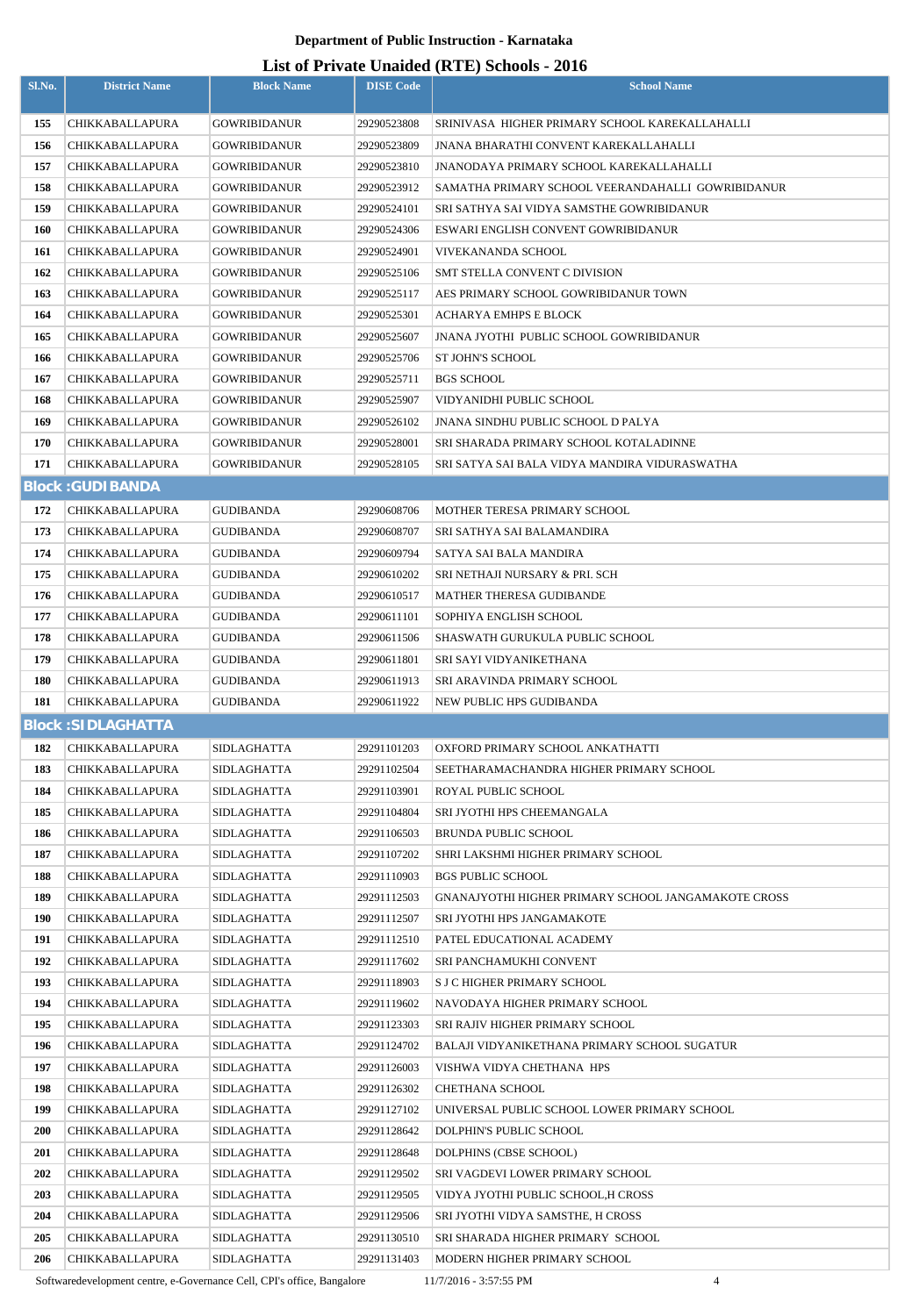## **List of Private Unaided (RTE) Schools - 2016**

| Sl.No.     | <b>District Name</b>               | <b>Block Name</b>          | <b>DISE Code</b>           | $1111$ and $21111$ $1111$ $1111$ $1111$<br><b>School Name</b> |
|------------|------------------------------------|----------------------------|----------------------------|---------------------------------------------------------------|
|            |                                    |                            |                            |                                                               |
| 155        | CHIKKABALLAPURA                    | <b>GOWRIBIDANUR</b>        | 29290523808                | SRINIVASA HIGHER PRIMARY SCHOOL KAREKALLAHALLI                |
| 156        | CHIKKABALLAPURA                    | <b>GOWRIBIDANUR</b>        | 29290523809                | JNANA BHARATHI CONVENT KAREKALLAHALLI                         |
| 157        | CHIKKABALLAPURA                    | <b>GOWRIBIDANUR</b>        | 29290523810                | JNANODAYA PRIMARY SCHOOL KAREKALLAHALLI                       |
| 158        | CHIKKABALLAPURA                    | <b>GOWRIBIDANUR</b>        | 29290523912                | SAMATHA PRIMARY SCHOOL VEERANDAHALLI GOWRIBIDANUR             |
| 159        | <b>CHIKKABALLAPURA</b>             | <b>GOWRIBIDANUR</b>        | 29290524101                | SRI SATHYA SAI VIDYA SAMSTHE GOWRIBIDANUR                     |
| <b>160</b> | CHIKKABALLAPURA                    | <b>GOWRIBIDANUR</b>        | 29290524306                | ESWARI ENGLISH CONVENT GOWRIBIDANUR                           |
| 161        | <b>CHIKKABALLAPURA</b>             | <b>GOWRIBIDANUR</b>        | 29290524901                | VIVEKANANDA SCHOOL                                            |
| 162        | CHIKKABALLAPURA                    | <b>GOWRIBIDANUR</b>        | 29290525106                | SMT STELLA CONVENT C DIVISION                                 |
| 163        | <b>CHIKKABALLAPURA</b>             | <b>GOWRIBIDANUR</b>        | 29290525117                | AES PRIMARY SCHOOL GOWRIBIDANUR TOWN                          |
| 164        | CHIKKABALLAPURA                    | <b>GOWRIBIDANUR</b>        | 29290525301                | <b>ACHARYA EMHPS E BLOCK</b>                                  |
| 165        | CHIKKABALLAPURA                    | <b>GOWRIBIDANUR</b>        | 29290525607                | <b>JNANA JYOTHI PUBLIC SCHOOL GOWRIBIDANUR</b>                |
| 166        | <b>CHIKKABALLAPURA</b>             | <b>GOWRIBIDANUR</b>        | 29290525706                | ST JOHN'S SCHOOL                                              |
| 167        | CHIKKABALLAPURA                    | <b>GOWRIBIDANUR</b>        | 29290525711                | <b>BGS SCHOOL</b>                                             |
| 168        | CHIKKABALLAPURA                    | <b>GOWRIBIDANUR</b>        | 29290525907                | VIDYANIDHI PUBLIC SCHOOL                                      |
| 169        | CHIKKABALLAPURA                    | <b>GOWRIBIDANUR</b>        | 29290526102                | JNANA SINDHU PUBLIC SCHOOL D PALYA                            |
| 170        | CHIKKABALLAPURA                    | <b>GOWRIBIDANUR</b>        | 29290528001                | SRI SHARADA PRIMARY SCHOOL KOTALADINNE                        |
| 171        | <b>CHIKKABALLAPURA</b>             | <b>GOWRIBIDANUR</b>        | 29290528105                | SRI SATYA SAI BALA VIDYA MANDIRA VIDURASWATHA                 |
|            | <b>Block: GUDIBANDA</b>            |                            |                            |                                                               |
| 172        | CHIKKABALLAPURA                    | <b>GUDIBANDA</b>           | 29290608706                | MOTHER TERESA PRIMARY SCHOOL                                  |
| 173        | <b>CHIKKABALLAPURA</b>             | GUDIBANDA                  | 29290608707                | SRI SATHYA SAI BALAMANDIRA                                    |
| 174        | CHIKKABALLAPURA                    | GUDIBANDA                  | 29290609794                | SATYA SAI BALA MANDIRA                                        |
| 175        | CHIKKABALLAPURA                    | GUDIBANDA                  | 29290610202                | SRI NETHAJI NURSARY & PRI. SCH                                |
| 176        | CHIKKABALLAPURA                    | GUDIBANDA                  | 29290610517                | MATHER THERESA GUDIBANDE                                      |
| 177        | <b>CHIKKABALLAPURA</b>             | GUDIBANDA                  | 29290611101                | SOPHIYA ENGLISH SCHOOL                                        |
| 178        | CHIKKABALLAPURA                    | <b>GUDIBANDA</b>           | 29290611506                | SHASWATH GURUKULA PUBLIC SCHOOL                               |
| 179        | <b>CHIKKABALLAPURA</b>             | GUDIBANDA                  | 29290611801                | SRI SAYI VIDYANIKETHANA                                       |
| 180        | CHIKKABALLAPURA                    | GUDIBANDA                  | 29290611913                | SRI ARAVINDA PRIMARY SCHOOL                                   |
| 181        | CHIKKABALLAPURA                    | <b>GUDIBANDA</b>           | 29290611922                | NEW PUBLIC HPS GUDIBANDA                                      |
|            | <b>Block: SIDLAGHATTA</b>          |                            |                            |                                                               |
| 182        | <b>CHIKKABALLAPURA</b>             | <b>SIDLAGHATTA</b>         | 29291101203                | OXFORD PRIMARY SCHOOL ANKATHATTI                              |
| 183        | CHIKKABALLAPURA                    | SIDLAGHATTA                | 29291102504                | SEETHARAMACHANDRA HIGHER PRIMARY SCHOOL                       |
| 184        | <b>CHIKKABALLAPURA</b>             | <b>SIDLAGHATTA</b>         | 29291103901                | ROYAL PUBLIC SCHOOL                                           |
| 185        | CHIKKABALLAPURA                    | <b>SIDLAGHATTA</b>         | 29291104804                | SRI JYOTHI HPS CHEEMANGALA                                    |
| 186        | CHIKKABALLAPURA                    | SIDLAGHATTA                | 29291106503                | <b>BRUNDA PUBLIC SCHOOL</b>                                   |
| 187        | <b>CHIKKABALLAPURA</b>             | SIDLAGHATTA                | 29291107202                | SHRI LAKSHMI HIGHER PRIMARY SCHOOL                            |
| 188        | <b>CHIKKABALLAPURA</b>             | <b>SIDLAGHATTA</b>         | 29291110903                | <b>BGS PUBLIC SCHOOL</b>                                      |
| 189        | CHIKKABALLAPURA                    | SIDLAGHATTA                | 29291112503                | GNANAJYOTHI HIGHER PRIMARY SCHOOL JANGAMAKOTE CROSS           |
| 190        | CHIKKABALLAPURA                    | SIDLAGHATTA                | 29291112507                | SRI JYOTHI HPS JANGAMAKOTE                                    |
| 191<br>192 | CHIKKABALLAPURA<br>CHIKKABALLAPURA | SIDLAGHATTA<br>SIDLAGHATTA | 29291112510<br>29291117602 | PATEL EDUCATIONAL ACADEMY<br>SRI PANCHAMUKHI CONVENT          |
| 193        | CHIKKABALLAPURA                    | SIDLAGHATTA                | 29291118903                | S J C HIGHER PRIMARY SCHOOL                                   |
| 194        | CHIKKABALLAPURA                    | SIDLAGHATTA                | 29291119602                | NAVODAYA HIGHER PRIMARY SCHOOL                                |
| 195        | CHIKKABALLAPURA                    | SIDLAGHATTA                | 29291123303                | SRI RAJIV HIGHER PRIMARY SCHOOL                               |
| 196        | <b>CHIKKABALLAPURA</b>             | <b>SIDLAGHATTA</b>         | 29291124702                | BALAJI VIDYANIKETHANA PRIMARY SCHOOL SUGATUR                  |
| 197        | CHIKKABALLAPURA                    | SIDLAGHATTA                | 29291126003                | VISHWA VIDYA CHETHANA HPS                                     |
| 198        | CHIKKABALLAPURA                    | SIDLAGHATTA                | 29291126302                | CHETHANA SCHOOL                                               |
| 199        | CHIKKABALLAPURA                    | SIDLAGHATTA                | 29291127102                | UNIVERSAL PUBLIC SCHOOL LOWER PRIMARY SCHOOL                  |
| <b>200</b> | CHIKKABALLAPURA                    | SIDLAGHATTA                | 29291128642                | <b>DOLPHIN'S PUBLIC SCHOOL</b>                                |
| <b>201</b> | CHIKKABALLAPURA                    | SIDLAGHATTA                | 29291128648                | DOLPHINS (CBSE SCHOOL)                                        |
| 202        | CHIKKABALLAPURA                    | <b>SIDLAGHATTA</b>         | 29291129502                | SRI VAGDEVI LOWER PRIMARY SCHOOL                              |
| 203        | CHIKKABALLAPURA                    | SIDLAGHATTA                | 29291129505                | VIDYA JYOTHI PUBLIC SCHOOL, H CROSS                           |
| 204        | CHIKKABALLAPURA                    | SIDLAGHATTA                | 29291129506                | SRI JYOTHI VIDYA SAMSTHE, H CROSS                             |
| 205        | CHIKKABALLAPURA                    | SIDLAGHATTA                | 29291130510                | SRI SHARADA HIGHER PRIMARY SCHOOL                             |
| 206        | CHIKKABALLAPURA                    | SIDLAGHATTA                | 29291131403                | MODERN HIGHER PRIMARY SCHOOL                                  |

Softwaredevelopment centre, e-Governance Cell, CPI's office, Bangalore 11/7/2016 - 3:57:55 PM 4